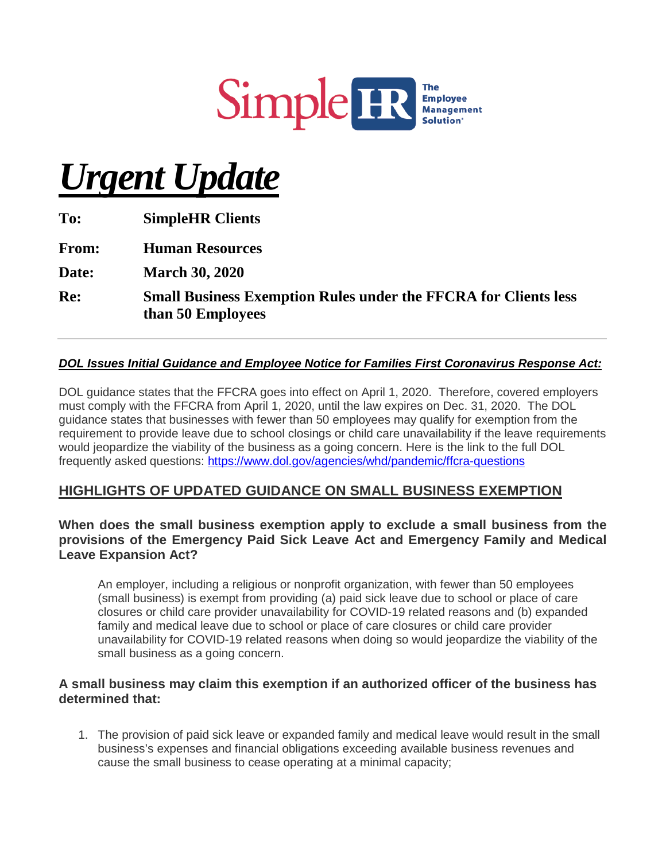

# *Urgent Update*

**To: SimpleHR Clients From: Human Resources Date: March 30, 2020 Re: Small Business Exemption Rules under the FFCRA for Clients less than 50 Employees**

#### *DOL Issues Initial Guidance and Employee Notice for Families First Coronavirus Response Act:*

DOL guidance states that the FFCRA goes into effect on April 1, 2020. Therefore, covered employers must comply with the FFCRA from April 1, 2020, until the law expires on Dec. 31, 2020. The DOL guidance states that businesses with fewer than 50 employees may qualify for exemption from the requirement to provide leave due to school closings or child care unavailability if the leave requirements would jeopardize the viability of the business as a going concern. Here is the link to the full DOL frequently asked questions: <https://www.dol.gov/agencies/whd/pandemic/ffcra-questions>

## **HIGHLIGHTS OF UPDATED GUIDANCE ON SMALL BUSINESS EXEMPTION**

#### **When does the small business exemption apply to exclude a small business from the provisions of the Emergency Paid Sick Leave Act and Emergency Family and Medical Leave Expansion Act?**

An employer, including a religious or nonprofit organization, with fewer than 50 employees (small business) is exempt from providing (a) paid sick leave due to school or place of care closures or child care provider unavailability for COVID-19 related reasons and (b) expanded family and medical leave due to school or place of care closures or child care provider unavailability for COVID-19 related reasons when doing so would jeopardize the viability of the small business as a going concern.

#### **A small business may claim this exemption if an authorized officer of the business has determined that:**

1. The provision of paid sick leave or expanded family and medical leave would result in the small business's expenses and financial obligations exceeding available business revenues and cause the small business to cease operating at a minimal capacity;